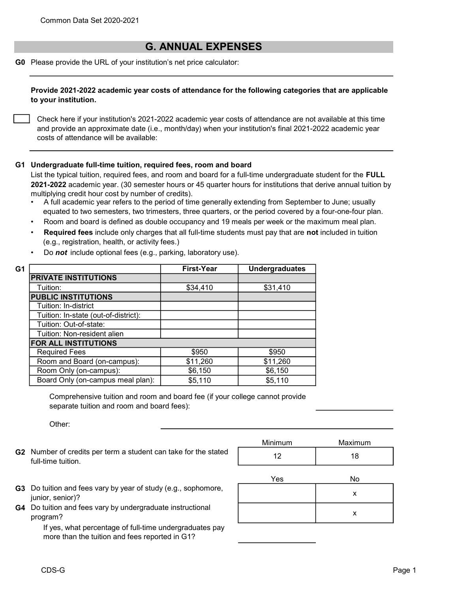## G. ANNUAL EXPENSES

G0 Please provide the URL of your institution's net price calculator:

Provide 2021-2022 academic year costs of attendance for the following categories that are applicable to your institution.

Check here if your institution's 2021-2022 academic year costs of attendance are not available at this time and provide an approximate date (i.e., month/day) when your institution's final 2021-2022 academic year costs of attendance will be available:

## G1 Undergraduate full-time tuition, required fees, room and board

List the typical tuition, required fees, and room and board for a full-time undergraduate student for the FULL 2021-2022 academic year. (30 semester hours or 45 quarter hours for institutions that derive annual tuition by multiplying credit hour cost by number of credits).

- A full academic year refers to the period of time generally extending from September to June; usually equated to two semesters, two trimesters, three quarters, or the period covered by a four-one-four plan.
- Room and board is defined as double occupancy and 19 meals per week or the maximum meal plan.
- **Required fees** include only charges that all full-time students must pay that are not included in tuition (e.g., registration, health, or activity fees.)
- Do **not** include optional fees (e.g., parking, laboratory use).

| G1 |                                      | <b>First-Year</b> | <b>Undergraduates</b> |
|----|--------------------------------------|-------------------|-----------------------|
|    | <b>PRIVATE INSTITUTIONS</b>          |                   |                       |
|    | Tuition:                             | \$34,410          | \$31,410              |
|    | <b>PUBLIC INSTITUTIONS</b>           |                   |                       |
|    | Tuition: In-district                 |                   |                       |
|    | Tuition: In-state (out-of-district): |                   |                       |
|    | Tuition: Out-of-state:               |                   |                       |
|    | Tuition: Non-resident alien          |                   |                       |
|    | <b>FOR ALL INSTITUTIONS</b>          |                   |                       |
|    | <b>Required Fees</b>                 | \$950             | \$950                 |
|    | Room and Board (on-campus):          | \$11,260          | \$11,260              |
|    | Room Only (on-campus):               | \$6,150           | \$6,150               |
|    | Board Only (on-campus meal plan):    | \$5,110           | \$5,110               |

Comprehensive tuition and room and board fee (if your college cannot provide separate tuition and room and board fees):

Other:

G2 Number of credits per term a student can take for the stated  $\begin{array}{ccc} 12 & 12 & 18 \end{array}$ full-time tuition.

| <b>Minimum</b> | Maximum |
|----------------|---------|
| $1^{\circ}$    | 18      |

- G3 Do tuition and fees vary by year of study (e.g., sophomore, junior, senior)?
- G4 Do tuition and fees vary by undergraduate instructional program?

If yes, what percentage of full-time undergraduates pay more than the tuition and fees reported in G1?

| Yes | No |
|-----|----|
|     | x  |
|     | x  |